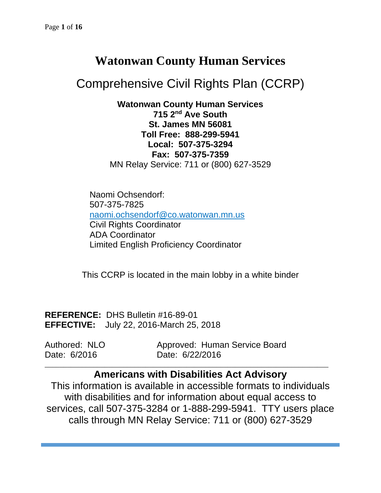## **Watonwan County Human Services**

# Comprehensive Civil Rights Plan (CCRP)

**Watonwan County Human Services 715 2nd Ave South St. James MN 56081 Toll Free: 888-299-5941 Local: 507-375-3294 Fax: 507-375-7359** MN Relay Service: 711 or (800) 627-3529

Naomi Ochsendorf: 507-375-7825 [naomi.ochsendorf@co.watonwan.mn.us](mailto:naomi.ochsendorf@co.watonwan.mn.us) Civil Rights Coordinator ADA Coordinator Limited English Proficiency Coordinator

This CCRP is located in the main lobby in a white binder

**REFERENCE:** DHS Bulletin #16-89-01 **EFFECTIVE:** July 22, 2016-March 25, 2018

Authored: NLO Approved: Human Service Board Date: 6/2016 Date: 6/22/2016

## **Americans with Disabilities Act Advisory**

\_\_\_\_\_\_\_\_\_\_\_\_\_\_\_\_\_\_\_\_\_\_\_\_\_\_\_\_\_\_\_\_\_\_\_\_\_\_\_\_\_\_\_\_\_\_\_\_\_\_\_\_\_\_\_\_\_\_\_\_\_\_\_\_\_\_\_\_\_\_\_\_\_\_\_\_

This information is available in accessible formats to individuals with disabilities and for information about equal access to services, call 507-375-3284 or 1-888-299-5941. TTY users place calls through MN Relay Service: 711 or (800) 627-3529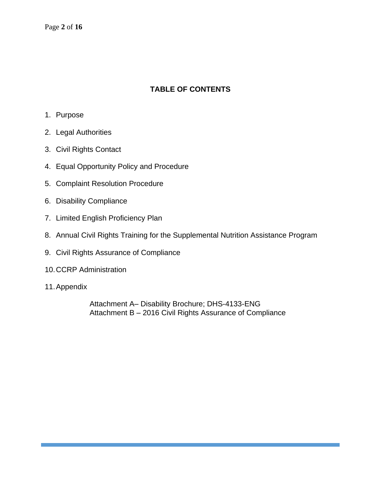Page **2** of **16**

## **TABLE OF CONTENTS**

- 1. Purpose
- 2. Legal Authorities
- 3. Civil Rights Contact
- 4. Equal Opportunity Policy and Procedure
- 5. Complaint Resolution Procedure
- 6. Disability Compliance
- 7. Limited English Proficiency Plan
- 8. Annual Civil Rights Training for the Supplemental Nutrition Assistance Program
- 9. Civil Rights Assurance of Compliance
- 10.CCRP Administration
- 11.Appendix

Attachment A– Disability Brochure; DHS-4133-ENG Attachment B – 2016 Civil Rights Assurance of Compliance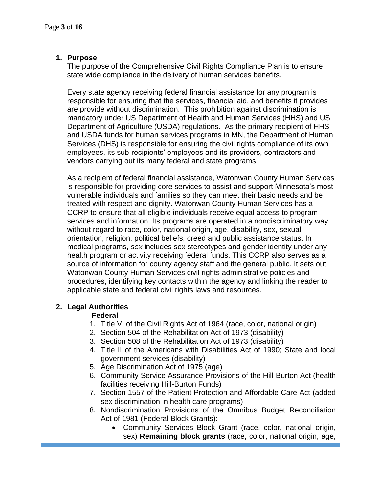## **1. Purpose**

The purpose of the Comprehensive Civil Rights Compliance Plan is to ensure state wide compliance in the delivery of human services benefits.

Every state agency receiving federal financial assistance for any program is responsible for ensuring that the services, financial aid, and benefits it provides are provide without discrimination. This prohibition against discrimination is mandatory under US Department of Health and Human Services (HHS) and US Department of Agriculture (USDA) regulations. As the primary recipient of HHS and USDA funds for human services programs in MN, the Department of Human Services (DHS) is responsible for ensuring the civil rights compliance of its own employees, its sub-recipients' employees and its providers, contractors and vendors carrying out its many federal and state programs

As a recipient of federal financial assistance, Watonwan County Human Services is responsible for providing core services to assist and support Minnesota's most vulnerable individuals and families so they can meet their basic needs and be treated with respect and dignity. Watonwan County Human Services has a CCRP to ensure that all eligible individuals receive equal access to program services and information. Its programs are operated in a nondiscriminatory way, without regard to race, color, national origin, age, disability, sex, sexual orientation, religion, political beliefs, creed and public assistance status. In medical programs, *sex* includes sex stereotypes and gender identity under any health program or activity receiving federal funds. This CCRP also serves as a source of information for county agency staff and the general public. It sets out Watonwan County Human Services civil rights administrative policies and procedures, identifying key contacts within the agency and linking the reader to applicable state and federal civil rights laws and resources.

## **2. Legal Authorities**

## **Federal**

- 1. Title VI of the Civil Rights Act of 1964 (race, color, national origin)
- 2. Section 504 of the Rehabilitation Act of 1973 (disability)
- 3. Section 508 of the Rehabilitation Act of 1973 (disability)
- 4. Title II of the Americans with Disabilities Act of 1990; State and local government services (disability)
- 5. Age Discrimination Act of 1975 (age)
- 6. Community Service Assurance Provisions of the Hill-Burton Act (health facilities receiving Hill-Burton Funds)
- 7. Section 1557 of the Patient Protection and Affordable Care Act (added sex discrimination in health care programs)
- 8. Nondiscrimination Provisions of the Omnibus Budget Reconciliation Act of 1981 (Federal Block Grants):
	- Community Services Block Grant (race, color, national origin, sex) **Remaining block grants** (race, color, national origin, age,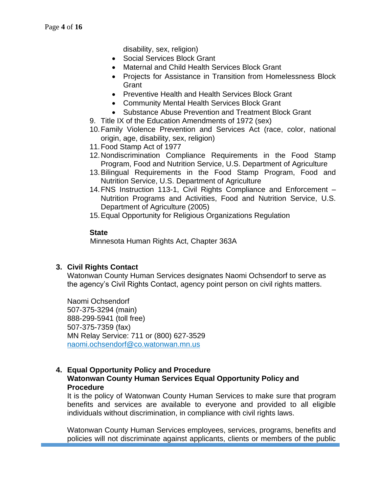disability, sex, religion)

- Social Services Block Grant
- Maternal and Child Health Services Block Grant
- Projects for Assistance in Transition from Homelessness Block **Grant**
- Preventive Health and Health Services Block Grant
- Community Mental Health Services Block Grant
- Substance Abuse Prevention and Treatment Block Grant
- 9. Title IX of the Education Amendments of 1972 (sex)
- 10.Family Violence Prevention and Services Act (race, color, national origin, age, disability, sex, religion)
- 11.Food Stamp Act of 1977
- 12.Nondiscrimination Compliance Requirements in the Food Stamp Program, Food and Nutrition Service, U.S. Department of Agriculture
- 13.Bilingual Requirements in the Food Stamp Program, Food and Nutrition Service, U.S. Department of Agriculture
- 14.FNS Instruction 113-1, Civil Rights Compliance and Enforcement Nutrition Programs and Activities, Food and Nutrition Service, U.S. Department of Agriculture (2005)
- 15.Equal Opportunity for Religious Organizations Regulation

### **State**

Minnesota Human Rights Act, Chapter 363A

## **3. Civil Rights Contact**

Watonwan County Human Services designates Naomi Ochsendorf to serve as the agency's Civil Rights Contact, agency point person on civil rights matters.

Naomi Ochsendorf 507-375-3294 (main) 888-299-5941 (toll free) 507-375-7359 (fax) MN Relay Service: 711 or (800) 627-3529 [naomi.ochsendorf@co.watonwan.mn.us](mailto:naomi.ochsendorf@co.watonwan.mn.us)

## **4. Equal Opportunity Policy and Procedure Watonwan County Human Services Equal Opportunity Policy and Procedure**

It is the policy of Watonwan County Human Services to make sure that program benefits and services are available to everyone and provided to all eligible individuals without discrimination, in compliance with civil rights laws.

Watonwan County Human Services employees, services, programs, benefits and policies will not discriminate against applicants, clients or members of the public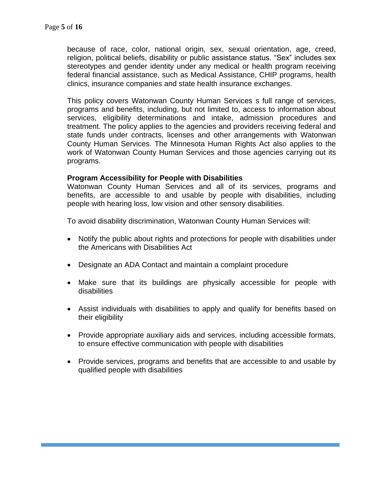because of race, color, national origin, sex, sexual orientation, age, creed, religion, political beliefs, disability or public assistance status. "Sex" includes sex stereotypes and gender identity under any medical or health program receiving federal financial assistance, such as Medical Assistance, CHIP programs, health clinics, insurance companies and state health insurance exchanges.

This policy covers Watonwan County Human Services s full range of services, programs and benefits, including, but not limited to, access to information about services, eligibility determinations and intake, admission procedures and treatment. The policy applies to the agencies and providers receiving federal and state funds under contracts, licenses and other arrangements with Watonwan County Human Services. The Minnesota Human Rights Act also applies to the work of Watonwan County Human Services and those agencies carrying out its programs.

#### **Program Accessibility for People with Disabilities**

Watonwan County Human Services and all of its services, programs and benefits, are accessible to and usable by people with disabilities, including people with hearing loss, low vision and other sensory disabilities.

To avoid disability discrimination, Watonwan County Human Services will:

- Notify the public about rights and protections for people with disabilities under the Americans with Disabilities Act
- Designate an ADA Contact and maintain a complaint procedure
- Make sure that its buildings are physically accessible for people with disabilities
- Assist individuals with disabilities to apply and qualify for benefits based on their eligibility
- Provide appropriate auxiliary aids and services, including accessible formats, to ensure effective communication with people with disabilities
- Provide services, programs and benefits that are accessible to and usable by qualified people with disabilities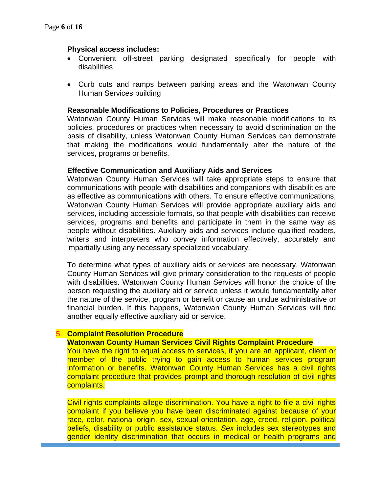#### **Physical access includes:**

- Convenient off-street parking designated specifically for people with disabilities
- Curb cuts and ramps between parking areas and the Watonwan County Human Services building

#### **Reasonable Modifications to Policies, Procedures or Practices**

Watonwan County Human Services will make reasonable modifications to its policies, procedures or practices when necessary to avoid discrimination on the basis of disability, unless Watonwan County Human Services can demonstrate that making the modifications would fundamentally alter the nature of the services, programs or benefits.

#### **Effective Communication and Auxiliary Aids and Services**

Watonwan County Human Services will take appropriate steps to ensure that communications with people with disabilities and companions with disabilities are as effective as communications with others. To ensure effective communications, Watonwan County Human Services will provide appropriate auxiliary aids and services, including accessible formats, so that people with disabilities can receive services, programs and benefits and participate in them in the same way as people without disabilities. Auxiliary aids and services include qualified readers, writers and interpreters who convey information effectively, accurately and impartially using any necessary specialized vocabulary.

To determine what types of auxiliary aids or services are necessary, Watonwan County Human Services will give primary consideration to the requests of people with disabilities. Watonwan County Human Services will honor the choice of the person requesting the auxiliary aid or service unless it would fundamentally alter the nature of the service, program or benefit or cause an undue administrative or financial burden. If this happens, Watonwan County Human Services will find another equally effective auxiliary aid or service.

#### 5. **Complaint Resolution Procedure**

#### **Watonwan County Human Services Civil Rights Complaint Procedure**

You have the right to equal access to services, if you are an applicant, client or member of the public trying to gain access to human services program information or benefits. Watonwan County Human Services has a civil rights complaint procedure that provides prompt and thorough resolution of civil rights complaints.

Civil rights complaints allege discrimination. You have a right to file a civil rights complaint if you believe you have been discriminated against because of your race, color, national origin, sex, sexual orientation, age, creed, religion, political beliefs, disability or public assistance status. *Sex* includes sex stereotypes and gender identity discrimination that occurs in medical or health programs and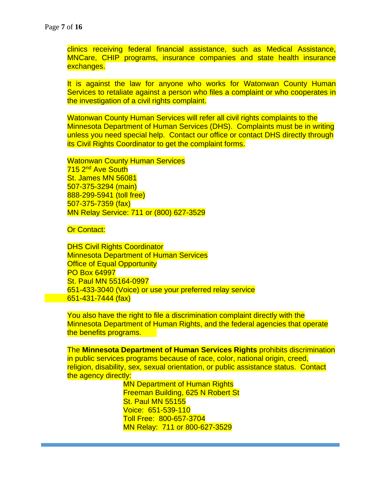clinics receiving federal financial assistance, such as Medical Assistance, MNCare, CHIP programs, insurance companies and state health insurance exchanges.

It is against the law for anyone who works for Watonwan County Human Services to retaliate against a person who files a complaint or who cooperates in the investigation of a civil rights complaint.

Watonwan County Human Services will refer all civil rights complaints to the Minnesota Department of Human Services (DHS). Complaints must be in writing unless you need special help. Contact our office or contact DHS directly through its Civil Rights Coordinator to get the complaint forms.

Watonwan County Human Services 715 2<sup>nd</sup> Ave South St. James MN 56081 507-375-3294 (main) 888-299-5941 (toll free) 507-375-7359 (fax) MN Relay Service: 711 or (800) 627-3529

**Or Contact:** 

DHS Civil Rights Coordinator Minnesota Department of Human Services **Office of Equal Opportunity** PO Box 64997 St. Paul MN 55164-0997 651-433-3040 (Voice) or use your preferred relay service  $651 - 431 - 7444$  (fax)

You also have the right to file a discrimination complaint directly with the Minnesota Department of Human Rights, and the federal agencies that operate the benefits programs.

The **Minnesota Department of Human Services Rights** prohibits discrimination in public services programs because of race, color, national origin, creed, religion, disability, sex, sexual orientation, or public assistance status. Contact the agency directly:

> MN Department of Human Rights Freeman Building, 625 N Robert St St. Paul MN 55155 Voice: 651-539-110 Toll Free: 800-657-3704 MN Relay: 711 or 800-627-3529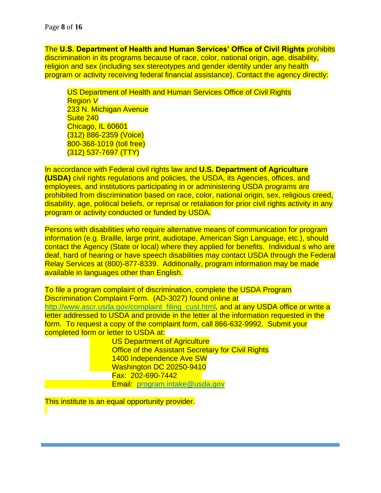The **U.S. Department of Health and Human Services' Office of Civil Rights** prohibits discrimination in its programs because of race, color, national origin, age, disability, religion and sex (including sex stereotypes and gender identity under any health program or activity receiving federal financial assistance). Contact the agency directly:

US Department of Health and Human Services Office of Civil Rights Region *V*  233 N. Michigan Avenue Suite 240 Chicago, IL 60601 (312) 886-2359 (Voice) 800-368-1019 (toll free) (312) 537-7697 (TTY)

In accordance with Federal civil rights law and **U.S. Department of Agriculture (USDA)** civil rights regulations and policies, the USDA, its Agencies, offices, and employees, and institutions participating in or administering USDA programs are prohibited from discrimination based on race, color, national origin, sex, religious creed, disability, age, political beliefs, or reprisal or retaliation for prior civil rights activity in any program or activity conducted or funded by USDA.

Persons with disabilities who require alternative means of communication for program information (e.g. Braille, large print, audiotape, American Sign Language, etc.), should contact the Agency (State or local) where they applied for benefits. Individual s who are deaf, hard of hearing or have speech disabilities may contact USDA through the Federal Relay Services at (800)-877-8339. Additionally, program information may be made available in languages other than English.

To file a program complaint of discrimination, complete the USDA Program Discrimination Complaint Form. (AD-3027) found online at [http://www.ascr.usda.gov/complaint\\_filing\\_cust.html,](http://www.ascr.usda.gov/complaint_filing_cust.html) and at any USDA office or write a letter addressed to USDA and provide in the letter al the information requested in the form. To request a copy of the complaint form, call 866-632-9992. Submit your completed form or letter to USDA at:

US Department of Agriculture **Office of the Assistant Secretary for Civil Rights** 1400 Independence Ave SW Washington DC 20250-9410 Fax: 202-690-7442 Email: [program.intake@usda.gov](mailto:program.intake@usda.gov)

This institute is an equal opportunity provider.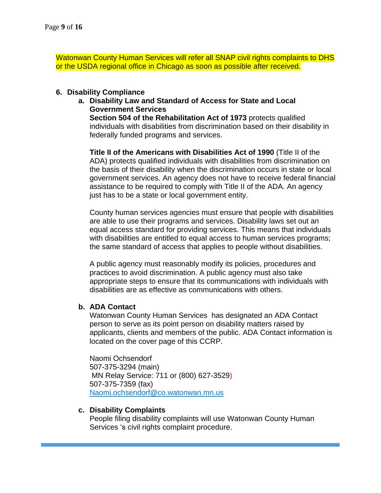Watonwan County Human Services will refer all SNAP civil rights complaints to DHS or the USDA regional office in Chicago as soon as possible after received.

#### **6. Disability Compliance**

**a. Disability Law and Standard of Access for State and Local Government Services**

**Section 504 of the Rehabilitation Act of 1973** protects qualified individuals with disabilities from discrimination based on their disability in federally funded programs and services.

**Title II of the Americans with Disabilities Act of 1990** (Title II of the ADA) protects qualified individuals with disabilities from discrimination on the basis of their disability when the discrimination occurs in state or local government services. An agency does not have to receive federal financial assistance to be required to comply with Title II of the ADA. An agency just has to be a state or local government entity.

County human services agencies must ensure that people with disabilities are able to use their programs and services. Disability laws set out an equal access standard for providing services. This means that individuals with disabilities are entitled to equal access to human services programs; the same standard of access that applies to people without disabilities.

A public agency must reasonably modify its policies, procedures and practices to avoid discrimination. A public agency must also take appropriate steps to ensure that its communications with individuals with disabilities are as effective as communications with others.

#### **b. ADA Contact**

Watonwan County Human Services has designated an ADA Contact person to serve as its point person on disability matters raised by applicants, clients and members of the public. ADA Contact information is located on the cover page of this CCRP.

Naomi Ochsendorf 507-375-3294 (main) MN Relay Service: 711 or (800) 627-3529) 507-375-7359 (fax) [Naomi.ochsendorf@co.watonwan.mn.us](mailto:Naomi.ochsendorf@co.watonwan.mn.us)

#### **c. Disability Complaints**

People filing disability complaints will use Watonwan County Human Services 's civil rights complaint procedure.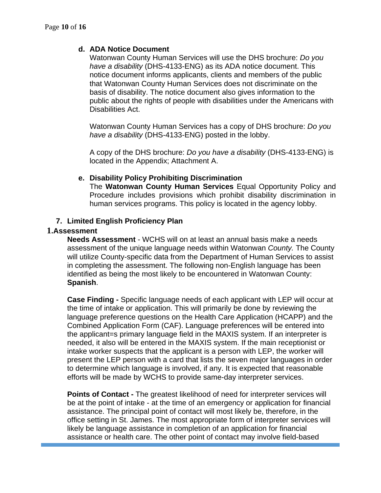#### **d. ADA Notice Document**

Watonwan County Human Services will use the DHS brochure: *Do you have a disability* (DHS-4133-ENG) as its ADA notice document. This notice document informs applicants, clients and members of the public that Watonwan County Human Services does not discriminate on the basis of disability. The notice document also gives information to the public about the rights of people with disabilities under the Americans with Disabilities Act.

Watonwan County Human Services has a copy of DHS brochure: *Do you have a disability* (DHS-4133-ENG) posted in the lobby.

A copy of the DHS brochure: *Do you have a disability* (DHS-4133-ENG) is located in the Appendix; Attachment A.

#### **e. Disability Policy Prohibiting Discrimination**

The **Watonwan County Human Services** Equal Opportunity Policy and Procedure includes provisions which prohibit disability discrimination in human services programs. This policy is located in the agency lobby.

#### **7. Limited English Proficiency Plan**

#### **1.Assessment**

**Needs Assessment** - WCHS will on at least an annual basis make a needs assessment of the unique language needs within Watonwan *County.* The County will utilize County-specific data from the Department of Human Services to assist in completing the assessment. The following non-English language has been identified as being the most likely to be encountered in Watonwan County: **Spanish**.

**Case Finding -** Specific language needs of each applicant with LEP will occur at the time of intake or application. This will primarily be done by reviewing the language preference questions on the Health Care Application (HCAPP) and the Combined Application Form (CAF). Language preferences will be entered into the applicant=s primary language field in the MAXIS system. If an interpreter is needed, it also will be entered in the MAXIS system. If the main receptionist or intake worker suspects that the applicant is a person with LEP, the worker will present the LEP person with a card that lists the seven major languages in order to determine which language is involved, if any. It is expected that reasonable efforts will be made by WCHS to provide same-day interpreter services.

**Points of Contact -** The greatest likelihood of need for interpreter services will be at the point of intake - at the time of an emergency or application for financial assistance. The principal point of contact will most likely be, therefore, in the office setting in St. James. The most appropriate form of interpreter services will likely be language assistance in completion of an application for financial assistance or health care. The other point of contact may involve field-based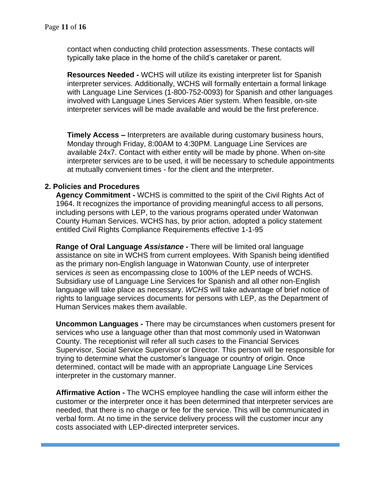contact when conducting child protection assessments. These contacts will typically take place in the home of the child's caretaker or parent.

**Resources Needed -** WCHS will utilize its existing interpreter list for Spanish interpreter services. Additionally, WCHS will formally entertain a formal linkage with Language Line Services (1-800-752-0093) for Spanish and other languages involved with Language Lines Services Atier system. When feasible, on-site interpreter services will be made available and would be the first preference.

**Timely Access –** Interpreters are available during customary business hours, Monday through Friday, 8:00AM to 4:30PM. Language Line Services are available 24x7. Contact with either entity will be made by phone. When on-site interpreter services are to be used, it will be necessary to schedule appointments at mutually convenient times - for the client and the interpreter.

#### **2. Policies and Procedures**

**Agency Commitment -** WCHS is committed to the spirit of the Civil Rights Act of 1964. It recognizes the importance of providing meaningful access to all persons, including persons with LEP, to the various programs operated under Watonwan County Human Services. WCHS has, by prior action, adopted a policy statement entitled Civil Rights Compliance Requirements effective 1-1-95

**Range of Oral Language** *Assistance* **-** There will be limited oral language assistance on site in WCHS from current employees. With Spanish being identified as the primary non-English language in Watonwan County, use of interpreter services *is* seen as encompassing close to 100% of the LEP needs of WCHS. Subsidiary use of Language Line Services for Spanish and all other non-English language will take place as necessary. *WCHS* will take advantage of brief notice of rights to language services documents for persons with LEP, as the Department of Human Services makes them available.

**Uncommon Languages -** There may be circumstances when customers present for services who use a language other than that most commonly used in Watonwan County. The receptionist will refer all such *cases* to the Financial Services Supervisor, Social Service Supervisor or Director. This person will be responsible for trying to determine what the customer's language or country of origin. Once determined, contact will be made with an appropriate Language Line Services interpreter in the customary manner.

**Affirmative Action -** The WCHS employee handling the case will inform either the customer or the interpreter once it has been determined that interpreter services are needed, that there is no charge or fee for the service. This will be communicated in verbal form. At no time in the service delivery process will the customer incur any costs associated with LEP-directed interpreter services.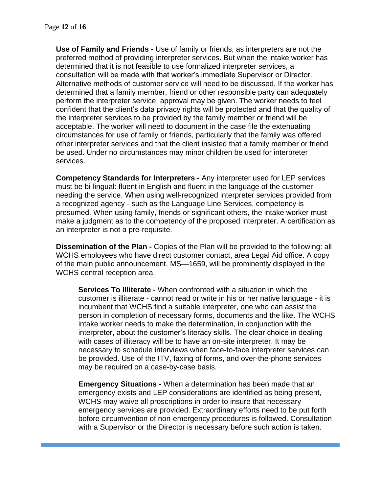**Use of Family and Friends -** Use of family or friends, as interpreters are not the preferred method of providing interpreter services. But when the intake worker has determined that it is not feasible to use formalized interpreter services, a consultation will be made with that worker's immediate Supervisor or Director. Alternative methods of customer service will need to be discussed. If the worker has determined that a family member, friend or other responsible party can adequately perform the interpreter service, approval may be given. The worker needs to feel confident that the client's data privacy rights will be protected and that the quality of the interpreter services to be provided by the family member or friend will be acceptable. The worker will need to document in the case file the extenuating circumstances for use of family or friends, particularly that the family was offered other interpreter services and that the client insisted that a family member or friend be used. Under no circumstances may minor children be used for interpreter services.

**Competency Standards for Interpreters -** Any interpreter used for LEP services must be bi-lingual: fluent in English and fluent in the language of the customer needing the service. When using well-recognized interpreter services provided from a recognized agency - such as the Language Line Services, competency is presumed. When using family, friends or significant others, the intake worker must make a judgment as to the competency of the proposed interpreter. A certification as an interpreter is not a pre-requisite.

**Dissemination of the Plan -** Copies of the Plan will be provided to the following: all WCHS employees who have direct customer contact, area Legal Aid office. A copy of the main public announcement, MS—1659, will be prominently displayed in the WCHS central reception area.

**Services To Illiterate -** When confronted with a situation in which the customer is illiterate - cannot read or write in his or her native language - it is incumbent that WCHS find a suitable interpreter, one who can assist the person in completion of necessary forms, documents and the like. The WCHS intake worker needs to make the determination, in conjunction with the interpreter, about the customer's literacy skills. The clear choice in dealing with cases of illiteracy will be to have an on-site interpreter. It may be necessary to schedule interviews when face-to-face interpreter services can be provided. Use of the ITV, faxing of forms, and over-the-phone services may be required on a case-by-case basis.

**Emergency Situations -** When a determination has been made that an emergency exists and LEP considerations are identified as being present, WCHS may waive all proscriptions in order to insure that necessary emergency services are provided. Extraordinary efforts need to be put forth before circumvention of non-emergency procedures is followed. Consultation with a Supervisor or the Director is necessary before such action is taken.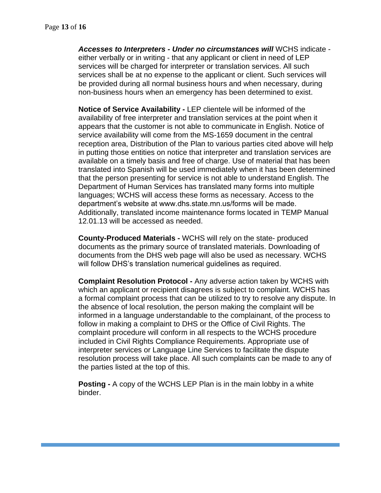*Accesses to Interpreters - Under no circumstances will* WCHS indicate either verbally or in writing - that any applicant or client in need of LEP services will be charged for interpreter or translation services. All such services shall be at no expense to the applicant or client. Such services will be provided during all normal business hours and when necessary, during non-business hours when an emergency has been determined to exist.

**Notice of Service Availability -** LEP clientele will be informed of the availability of free interpreter and translation services at the point when it appears that the customer is not able to communicate in English. Notice of service availability will come from the MS-1659 document in the central reception area, Distribution of the Plan to various parties cited above will help in putting those entities on notice that interpreter and translation services are available on a timely basis and free of charge. Use of material that has been translated into Spanish will be used immediately when it has been determined that the person presenting for service is not able to understand English. The Department of Human Services has translated many forms into multiple languages; WCHS will access these forms as necessary. Access to the department's website at www.dhs.state.mn.us/forms will be made. Additionally, translated income maintenance forms located in TEMP Manual 12.01.13 will be accessed as needed.

**County-Produced Materials -** WCHS will rely on the state- produced documents as the primary source of translated materials. Downloading of documents from the DHS web page will also be used as necessary. WCHS will follow DHS's translation numerical guidelines as required.

**Complaint Resolution Protocol -** Any adverse action taken by WCHS with which an applicant or recipient disagrees is subject to complaint. WCHS has a formal complaint process that can be utilized to try to resolve any dispute. In the absence of local resolution, the person making the complaint will be informed in a language understandable to the complainant, of the process to follow in making a complaint to DHS or the Office of Civil Rights. The complaint procedure will conform in all respects to the WCHS procedure included in Civil Rights Compliance Requirements. Appropriate use of interpreter services or Language Line Services to facilitate the dispute resolution process will take place. All such complaints can be made to any of the parties listed at the top of this.

**Posting -** A copy of the WCHS LEP Plan is in the main lobby in a white binder.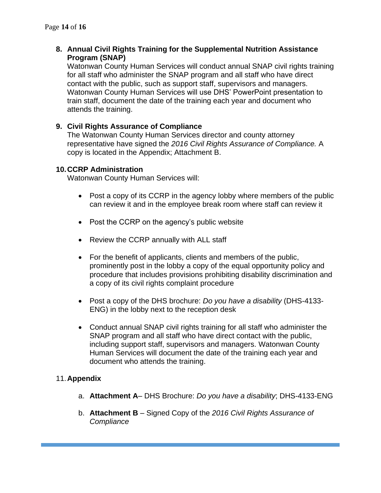## **8. Annual Civil Rights Training for the Supplemental Nutrition Assistance Program (SNAP)**

Watonwan County Human Services will conduct annual SNAP civil rights training for all staff who administer the SNAP program and all staff who have direct contact with the public, such as support staff, supervisors and managers. Watonwan County Human Services will use DHS' PowerPoint presentation to train staff, document the date of the training each year and document who attends the training.

## **9. Civil Rights Assurance of Compliance**

The Watonwan County Human Services director and county attorney representative have signed the *2016 Civil Rights Assurance of Compliance.* A copy is located in the Appendix; Attachment B.

#### **10.CCRP Administration**

Watonwan County Human Services will:

- Post a copy of its CCRP in the agency lobby where members of the public can review it and in the employee break room where staff can review it
- Post the CCRP on the agency's public website
- Review the CCRP annually with ALL staff
- For the benefit of applicants, clients and members of the public, prominently post in the lobby a copy of the equal opportunity policy and procedure that includes provisions prohibiting disability discrimination and a copy of its civil rights complaint procedure
- Post a copy of the DHS brochure: *Do you have a disability* (DHS-4133- ENG) in the lobby next to the reception desk
- Conduct annual SNAP civil rights training for all staff who administer the SNAP program and all staff who have direct contact with the public, including support staff, supervisors and managers. Watonwan County Human Services will document the date of the training each year and document who attends the training.

### 11.**Appendix**

- a. **Attachment A** DHS Brochure: *Do you have a disability*; DHS-4133-ENG
- b. **Attachment B** Signed Copy of the *2016 Civil Rights Assurance of Compliance*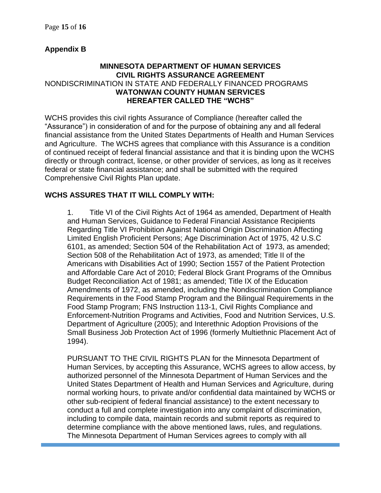## **Appendix B**

## **MINNESOTA DEPARTMENT OF HUMAN SERVICES CIVIL RIGHTS ASSURANCE AGREEMENT** NONDISCRIMINATION IN STATE AND FEDERALLY FINANCED PROGRAMS **WATONWAN COUNTY HUMAN SERVICES HEREAFTER CALLED THE "WCHS"**

WCHS provides this civil rights Assurance of Compliance (hereafter called the "Assurance") in consideration of and for the purpose of obtaining any and all federal financial assistance from the United States Departments of Health and Human Services and Agriculture. The WCHS agrees that compliance with this Assurance is a condition of continued receipt of federal financial assistance and that it is binding upon the WCHS directly or through contract, license, or other provider of services, as long as it receives federal or state financial assistance; and shall be submitted with the required Comprehensive Civil Rights Plan update.

## **WCHS ASSURES THAT IT WILL COMPLY WITH:**

1. Title VI of the Civil Rights Act of 1964 as amended, Department of Health and Human Services, Guidance to Federal Financial Assistance Recipients Regarding Title VI Prohibition Against National Origin Discrimination Affecting Limited English Proficient Persons; Age Discrimination Act of 1975, 42 U.S.C 6101, as amended; Section 504 of the Rehabilitation Act of 1973, as amended; Section 508 of the Rehabilitation Act of 1973, as amended; Title II of the Americans with Disabilities Act of 1990; Section 1557 of the Patient Protection and Affordable Care Act of 2010; Federal Block Grant Programs of the Omnibus Budget Reconciliation Act of 1981; as amended; Title IX of the Education Amendments of 1972, as amended, including the Nondiscrimination Compliance Requirements in the Food Stamp Program and the Bilingual Requirements in the Food Stamp Program; FNS Instruction 113-1, Civil Rights Compliance and Enforcement-Nutrition Programs and Activities, Food and Nutrition Services, U.S. Department of Agriculture (2005); and Interethnic Adoption Provisions of the Small Business Job Protection Act of 1996 (formerly Multiethnic Placement Act of 1994).

PURSUANT TO THE CIVIL RIGHTS PLAN for the Minnesota Department of Human Services, by accepting this Assurance, WCHS agrees to allow access, by authorized personnel of the Minnesota Department of Human Services and the United States Department of Health and Human Services and Agriculture, during normal working hours, to private and/or confidential data maintained by WCHS or other sub-recipient of federal financial assistance) to the extent necessary to conduct a full and complete investigation into any complaint of discrimination, including to compile data, maintain records and submit reports as required to determine compliance with the above mentioned laws, rules, and regulations. The Minnesota Department of Human Services agrees to comply with all